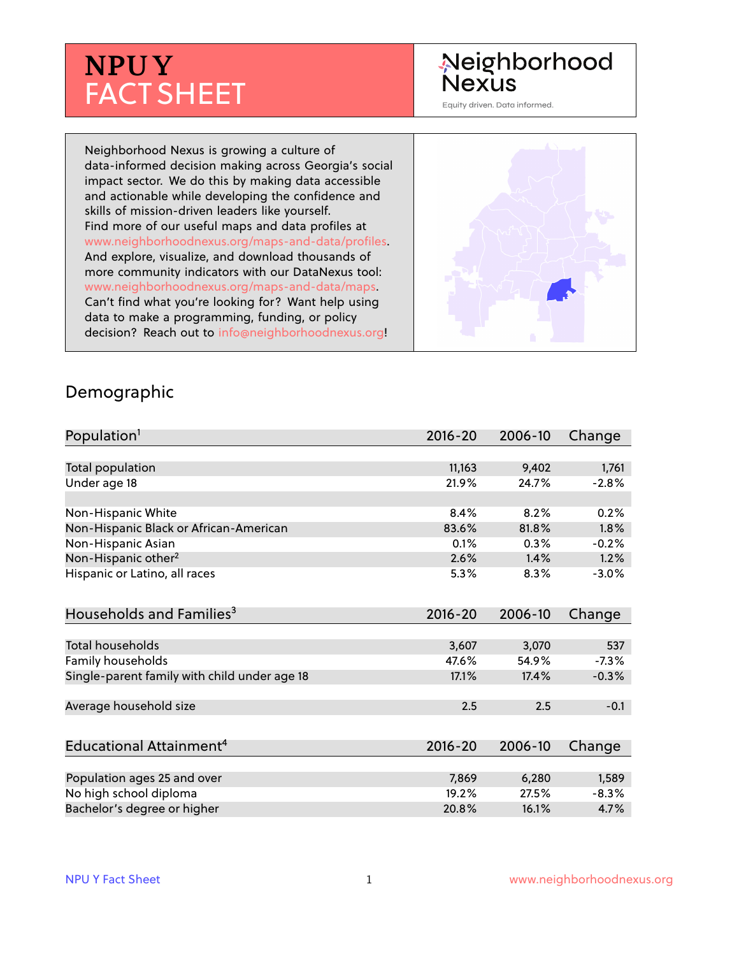# **NPUY** FACT SHEET

## Neighborhood **Nexus**

Equity driven. Data informed.

Neighborhood Nexus is growing a culture of data-informed decision making across Georgia's social impact sector. We do this by making data accessible and actionable while developing the confidence and skills of mission-driven leaders like yourself. Find more of our useful maps and data profiles at www.neighborhoodnexus.org/maps-and-data/profiles. And explore, visualize, and download thousands of more community indicators with our DataNexus tool: www.neighborhoodnexus.org/maps-and-data/maps. Can't find what you're looking for? Want help using data to make a programming, funding, or policy decision? Reach out to [info@neighborhoodnexus.org!](mailto:info@neighborhoodnexus.org)



#### Demographic

| Population <sup>1</sup>                      | $2016 - 20$ | 2006-10 | Change  |
|----------------------------------------------|-------------|---------|---------|
|                                              |             |         |         |
| Total population                             | 11,163      | 9,402   | 1,761   |
| Under age 18                                 | 21.9%       | 24.7%   | $-2.8%$ |
|                                              |             |         |         |
| Non-Hispanic White                           | 8.4%        | 8.2%    | 0.2%    |
| Non-Hispanic Black or African-American       | 83.6%       | 81.8%   | 1.8%    |
| Non-Hispanic Asian                           | 0.1%        | 0.3%    | $-0.2%$ |
| Non-Hispanic other <sup>2</sup>              | 2.6%        | 1.4%    | 1.2%    |
| Hispanic or Latino, all races                | 5.3%        | 8.3%    | $-3.0%$ |
| Households and Families <sup>3</sup>         | $2016 - 20$ | 2006-10 | Change  |
|                                              |             |         |         |
| <b>Total households</b>                      | 3,607       | 3,070   | 537     |
| Family households                            | 47.6%       | 54.9%   | $-7.3%$ |
| Single-parent family with child under age 18 | 17.1%       | 17.4%   | $-0.3%$ |
|                                              |             |         |         |
| Average household size                       | 2.5         | 2.5     | $-0.1$  |
|                                              |             |         |         |
| Educational Attainment <sup>4</sup>          | $2016 - 20$ | 2006-10 | Change  |
|                                              |             |         |         |
| Population ages 25 and over                  | 7,869       | 6,280   | 1,589   |
| No high school diploma                       | 19.2%       | 27.5%   | $-8.3%$ |
| Bachelor's degree or higher                  | 20.8%       | 16.1%   | 4.7%    |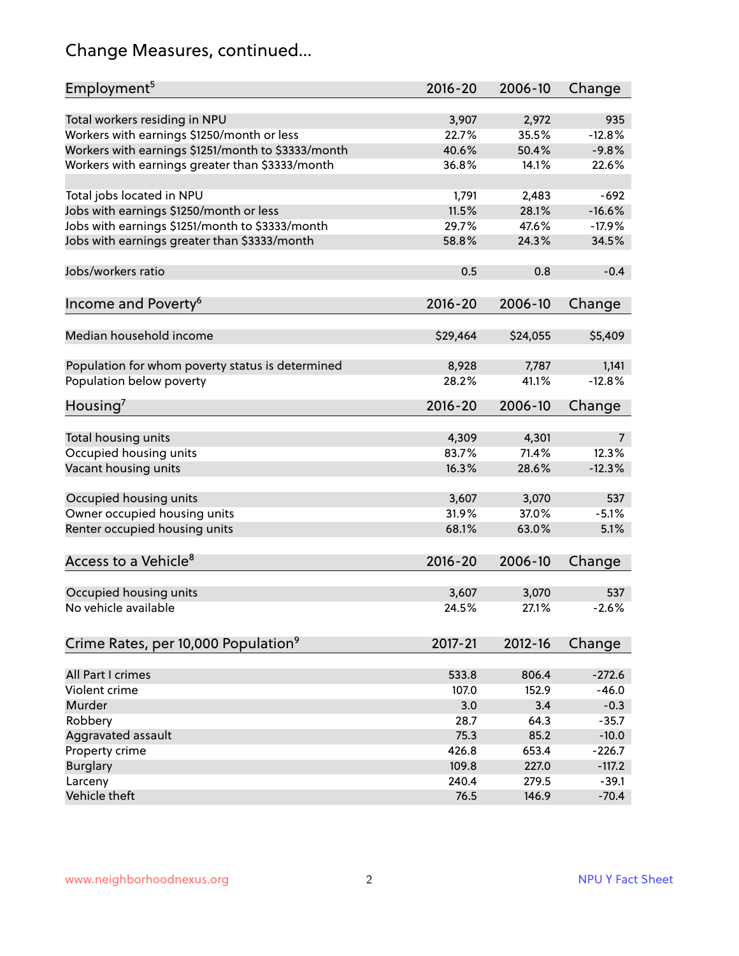## Change Measures, continued...

| Employment <sup>5</sup>                            | $2016 - 20$ | 2006-10     | Change   |
|----------------------------------------------------|-------------|-------------|----------|
|                                                    |             |             |          |
| Total workers residing in NPU                      | 3,907       | 2,972       | 935      |
| Workers with earnings \$1250/month or less         | 22.7%       | 35.5%       | $-12.8%$ |
| Workers with earnings \$1251/month to \$3333/month | 40.6%       | 50.4%       | $-9.8%$  |
| Workers with earnings greater than \$3333/month    | 36.8%       | 14.1%       | 22.6%    |
| Total jobs located in NPU                          | 1,791       | 2,483       | $-692$   |
| Jobs with earnings \$1250/month or less            | 11.5%       | 28.1%       | $-16.6%$ |
| Jobs with earnings \$1251/month to \$3333/month    | 29.7%       | 47.6%       | $-17.9%$ |
| Jobs with earnings greater than \$3333/month       | 58.8%       | 24.3%       | 34.5%    |
|                                                    |             |             |          |
| Jobs/workers ratio                                 | 0.5         | 0.8         | $-0.4$   |
|                                                    | $2016 - 20$ |             |          |
| Income and Poverty <sup>6</sup>                    |             | 2006-10     | Change   |
| Median household income                            | \$29,464    | \$24,055    | \$5,409  |
|                                                    |             |             |          |
| Population for whom poverty status is determined   | 8,928       | 7,787       | 1,141    |
| Population below poverty                           | 28.2%       | 41.1%       | $-12.8%$ |
|                                                    |             |             |          |
| Housing <sup>7</sup>                               | $2016 - 20$ | 2006-10     | Change   |
|                                                    | 4,309       | 4,301       |          |
| Total housing units                                |             |             | 7        |
| Occupied housing units                             | 83.7%       | 71.4%       | 12.3%    |
| Vacant housing units                               | 16.3%       | 28.6%       | $-12.3%$ |
| Occupied housing units                             | 3,607       | 3,070       | 537      |
| Owner occupied housing units                       | 31.9%       | 37.0%       | $-5.1%$  |
| Renter occupied housing units                      | 68.1%       | 63.0%       | 5.1%     |
|                                                    |             |             |          |
| Access to a Vehicle <sup>8</sup>                   | $2016 - 20$ | 2006-10     | Change   |
|                                                    |             |             |          |
| Occupied housing units                             | 3,607       | 3,070       | 537      |
| No vehicle available                               | 24.5%       | 27.1%       | $-2.6%$  |
|                                                    |             |             |          |
| Crime Rates, per 10,000 Population <sup>9</sup>    | 2017-21     | $2012 - 16$ | Change   |
|                                                    |             |             |          |
| All Part I crimes                                  | 533.8       | 806.4       | $-272.6$ |
| Violent crime                                      | 107.0       | 152.9       | $-46.0$  |
| Murder                                             | 3.0         | 3.4         | $-0.3$   |
| Robbery                                            | 28.7        | 64.3        | $-35.7$  |
| Aggravated assault                                 | 75.3        | 85.2        | $-10.0$  |
| Property crime                                     | 426.8       | 653.4       | $-226.7$ |
| <b>Burglary</b>                                    | 109.8       | 227.0       | $-117.2$ |
| Larceny                                            | 240.4       | 279.5       | $-39.1$  |
| Vehicle theft                                      | 76.5        | 146.9       | $-70.4$  |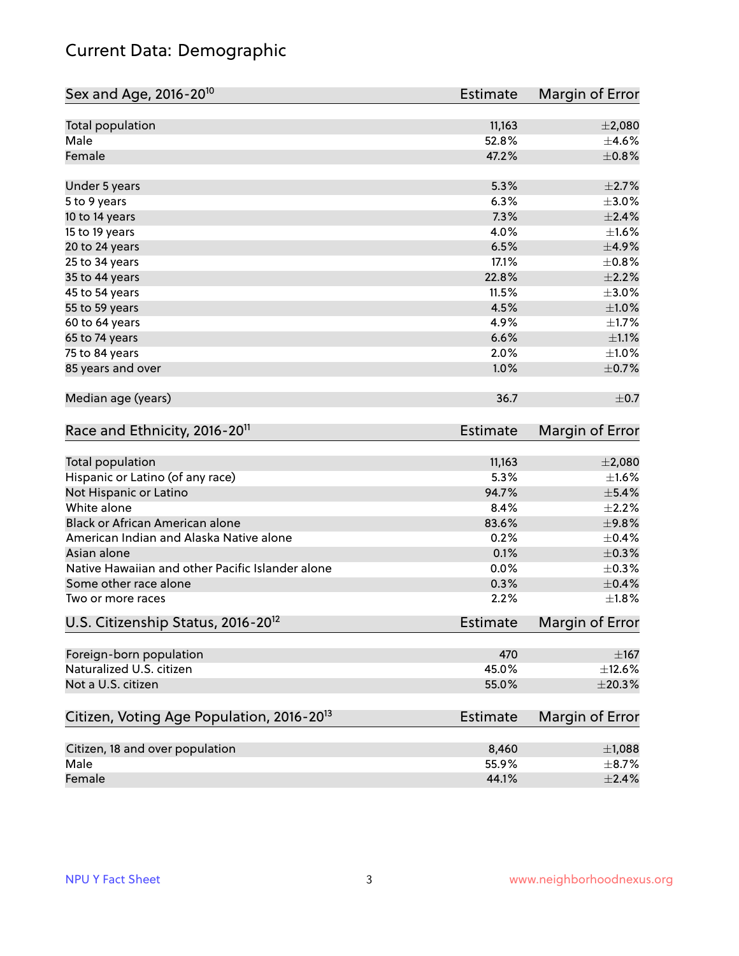## Current Data: Demographic

| Sex and Age, 2016-20 <sup>10</sup>                    | Estimate        | Margin of Error |
|-------------------------------------------------------|-----------------|-----------------|
| Total population                                      | 11,163          | $\pm 2,080$     |
| Male                                                  | 52.8%           | $\pm 4.6\%$     |
| Female                                                | 47.2%           | $\pm$ 0.8%      |
| Under 5 years                                         | 5.3%            | $\pm 2.7\%$     |
| 5 to 9 years                                          | 6.3%            | $\pm 3.0\%$     |
| 10 to 14 years                                        | 7.3%            | $\pm 2.4\%$     |
| 15 to 19 years                                        | 4.0%            | $\pm1.6\%$      |
| 20 to 24 years                                        | 6.5%            | $\pm$ 4.9%      |
| 25 to 34 years                                        | 17.1%           | $\pm$ 0.8%      |
| 35 to 44 years                                        | 22.8%           | $\pm 2.2\%$     |
| 45 to 54 years                                        | 11.5%           | $\pm 3.0\%$     |
| 55 to 59 years                                        | 4.5%            | $\pm 1.0\%$     |
| 60 to 64 years                                        | 4.9%            | $\pm 1.7\%$     |
| 65 to 74 years                                        | 6.6%            | $\pm 1.1\%$     |
| 75 to 84 years                                        | 2.0%            | $\pm 1.0\%$     |
| 85 years and over                                     | 1.0%            | $\pm$ 0.7%      |
| Median age (years)                                    | 36.7            | $\pm$ 0.7       |
| Race and Ethnicity, 2016-20 <sup>11</sup>             | <b>Estimate</b> | Margin of Error |
| Total population                                      | 11,163          | $\pm 2,080$     |
| Hispanic or Latino (of any race)                      | 5.3%            | $\pm1.6\%$      |
| Not Hispanic or Latino                                | 94.7%           | $\pm$ 5.4%      |
| White alone                                           | 8.4%            | $\pm 2.2\%$     |
| Black or African American alone                       | 83.6%           | ±9.8%           |
| American Indian and Alaska Native alone               | 0.2%            | $\pm$ 0.4%      |
| Asian alone                                           | 0.1%            | $\pm$ 0.3%      |
| Native Hawaiian and other Pacific Islander alone      | 0.0%            | $\pm$ 0.3%      |
| Some other race alone                                 | 0.3%            | $\pm$ 0.4%      |
| Two or more races                                     | 2.2%            | $\pm1.8\%$      |
| U.S. Citizenship Status, 2016-20 <sup>12</sup>        | <b>Estimate</b> | Margin of Error |
| Foreign-born population                               | 470             | $\pm$ 167       |
| Naturalized U.S. citizen                              | 45.0%           | $\pm$ 12.6%     |
| Not a U.S. citizen                                    | 55.0%           | ±20.3%          |
| Citizen, Voting Age Population, 2016-20 <sup>13</sup> | <b>Estimate</b> | Margin of Error |
| Citizen, 18 and over population                       | 8,460           | $\pm$ 1,088     |
| Male                                                  | 55.9%           | $\pm$ 8.7%      |
| Female                                                | 44.1%           | $\pm 2.4\%$     |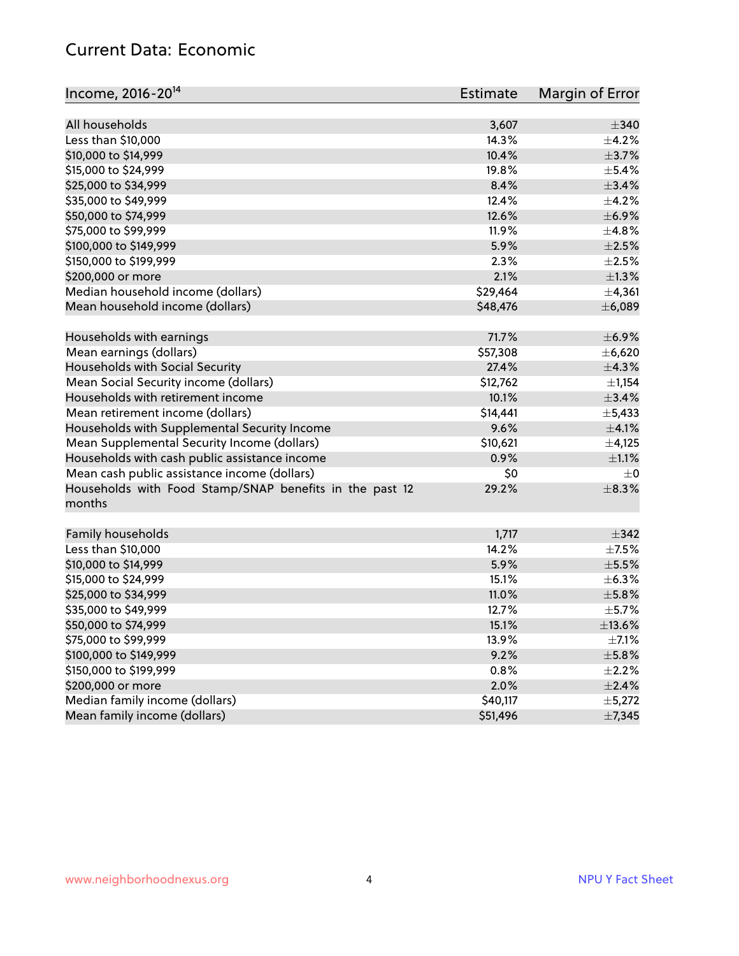#### Current Data: Economic

| All households<br>3,607<br>$\pm$ 340<br>Less than \$10,000<br>$\pm$ 4.2%<br>14.3%<br>10.4%<br>$\pm$ 3.7%<br>\$10,000 to \$14,999<br>\$15,000 to \$24,999<br>19.8%<br>$\pm$ 5.4%<br>\$25,000 to \$34,999<br>8.4%<br>±3.4%<br>\$35,000 to \$49,999<br>12.4%<br>$\pm$ 4.2%<br>\$50,000 to \$74,999<br>12.6%<br>$\pm$ 6.9%<br>\$75,000 to \$99,999<br>11.9%<br>±4.8%<br>5.9%<br>$\pm 2.5\%$<br>\$100,000 to \$149,999<br>2.3%<br>$\pm 2.5\%$<br>\$150,000 to \$199,999 | Income, 2016-20 <sup>14</sup> | <b>Estimate</b> | Margin of Error |
|--------------------------------------------------------------------------------------------------------------------------------------------------------------------------------------------------------------------------------------------------------------------------------------------------------------------------------------------------------------------------------------------------------------------------------------------------------------------|-------------------------------|-----------------|-----------------|
|                                                                                                                                                                                                                                                                                                                                                                                                                                                                    |                               |                 |                 |
|                                                                                                                                                                                                                                                                                                                                                                                                                                                                    |                               |                 |                 |
|                                                                                                                                                                                                                                                                                                                                                                                                                                                                    |                               |                 |                 |
|                                                                                                                                                                                                                                                                                                                                                                                                                                                                    |                               |                 |                 |
|                                                                                                                                                                                                                                                                                                                                                                                                                                                                    |                               |                 |                 |
|                                                                                                                                                                                                                                                                                                                                                                                                                                                                    |                               |                 |                 |
|                                                                                                                                                                                                                                                                                                                                                                                                                                                                    |                               |                 |                 |
|                                                                                                                                                                                                                                                                                                                                                                                                                                                                    |                               |                 |                 |
|                                                                                                                                                                                                                                                                                                                                                                                                                                                                    |                               |                 |                 |
|                                                                                                                                                                                                                                                                                                                                                                                                                                                                    |                               |                 |                 |
|                                                                                                                                                                                                                                                                                                                                                                                                                                                                    |                               |                 |                 |
| 2.1%<br>\$200,000 or more                                                                                                                                                                                                                                                                                                                                                                                                                                          |                               |                 | $\pm$ 1.3%      |
| Median household income (dollars)<br>\$29,464                                                                                                                                                                                                                                                                                                                                                                                                                      |                               |                 | ±4,361          |
| Mean household income (dollars)<br>\$48,476                                                                                                                                                                                                                                                                                                                                                                                                                        |                               |                 | ±6,089          |
| 71.7%<br>Households with earnings                                                                                                                                                                                                                                                                                                                                                                                                                                  |                               |                 | $\pm$ 6.9%      |
| Mean earnings (dollars)<br>\$57,308                                                                                                                                                                                                                                                                                                                                                                                                                                |                               |                 | ±6,620          |
| Households with Social Security<br>27.4%                                                                                                                                                                                                                                                                                                                                                                                                                           |                               |                 | ±4.3%           |
| Mean Social Security income (dollars)<br>\$12,762                                                                                                                                                                                                                                                                                                                                                                                                                  |                               |                 | $\pm$ 1,154     |
| Households with retirement income<br>10.1%                                                                                                                                                                                                                                                                                                                                                                                                                         |                               |                 | ±3.4%           |
| Mean retirement income (dollars)<br>\$14,441                                                                                                                                                                                                                                                                                                                                                                                                                       |                               |                 | $\pm$ 5,433     |
| Households with Supplemental Security Income<br>9.6%                                                                                                                                                                                                                                                                                                                                                                                                               |                               |                 | $\pm 4.1\%$     |
| Mean Supplemental Security Income (dollars)<br>\$10,621                                                                                                                                                                                                                                                                                                                                                                                                            |                               |                 | $\pm$ 4,125     |
| Households with cash public assistance income<br>0.9%                                                                                                                                                                                                                                                                                                                                                                                                              |                               |                 | $\pm 1.1\%$     |
| Mean cash public assistance income (dollars)<br>\$0                                                                                                                                                                                                                                                                                                                                                                                                                |                               |                 | $\pm 0$         |
| Households with Food Stamp/SNAP benefits in the past 12<br>29.2%<br>months                                                                                                                                                                                                                                                                                                                                                                                         |                               |                 | $\pm$ 8.3%      |
| Family households<br>1,717                                                                                                                                                                                                                                                                                                                                                                                                                                         |                               |                 | $\pm$ 342       |
| Less than \$10,000<br>14.2%                                                                                                                                                                                                                                                                                                                                                                                                                                        |                               |                 | $\pm$ 7.5%      |
| 5.9%<br>\$10,000 to \$14,999                                                                                                                                                                                                                                                                                                                                                                                                                                       |                               |                 | $\pm$ 5.5%      |
| \$15,000 to \$24,999<br>15.1%                                                                                                                                                                                                                                                                                                                                                                                                                                      |                               |                 | ±6.3%           |
| \$25,000 to \$34,999<br>11.0%                                                                                                                                                                                                                                                                                                                                                                                                                                      |                               |                 | $\pm$ 5.8%      |
| \$35,000 to \$49,999<br>12.7%                                                                                                                                                                                                                                                                                                                                                                                                                                      |                               |                 | $\pm$ 5.7%      |
| \$50,000 to \$74,999<br>15.1%                                                                                                                                                                                                                                                                                                                                                                                                                                      |                               |                 | ±13.6%          |
| \$75,000 to \$99,999<br>13.9%                                                                                                                                                                                                                                                                                                                                                                                                                                      |                               |                 | $\pm$ 7.1%      |
| \$100,000 to \$149,999<br>9.2%                                                                                                                                                                                                                                                                                                                                                                                                                                     |                               |                 | $\pm$ 5.8%      |
| \$150,000 to \$199,999<br>0.8%                                                                                                                                                                                                                                                                                                                                                                                                                                     |                               |                 | $\pm 2.2\%$     |
| \$200,000 or more<br>2.0%                                                                                                                                                                                                                                                                                                                                                                                                                                          |                               |                 | $\pm 2.4\%$     |
| Median family income (dollars)<br>\$40,117                                                                                                                                                                                                                                                                                                                                                                                                                         |                               |                 | ±5,272          |
| Mean family income (dollars)<br>\$51,496                                                                                                                                                                                                                                                                                                                                                                                                                           |                               |                 | ±7,345          |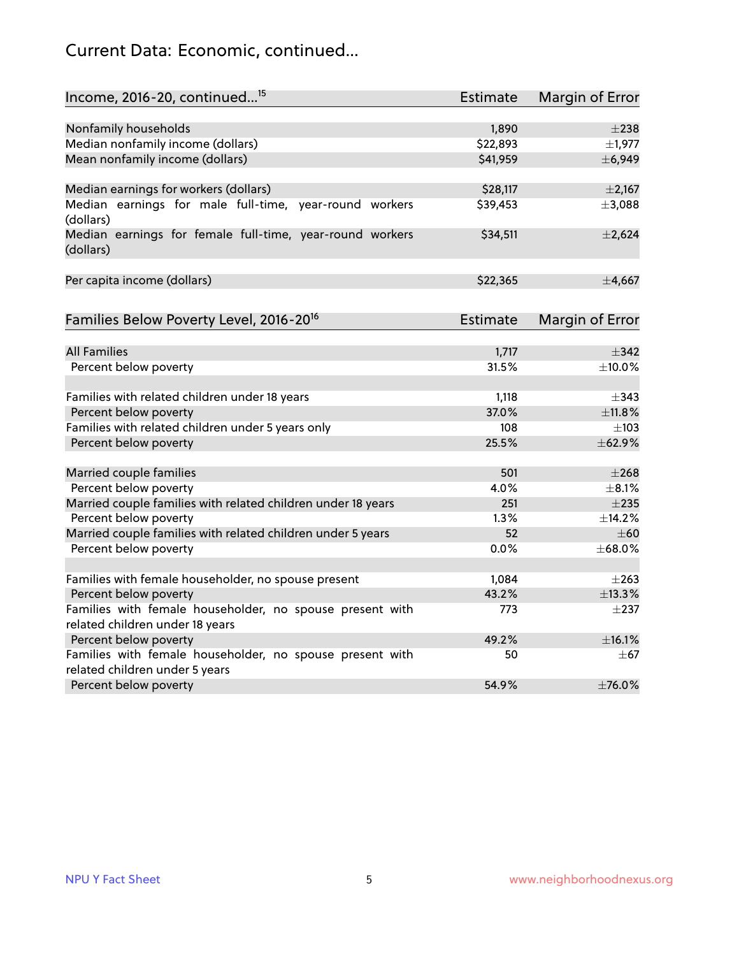## Current Data: Economic, continued...

| Income, 2016-20, continued <sup>15</sup>                                                    | <b>Estimate</b> | <b>Margin of Error</b> |
|---------------------------------------------------------------------------------------------|-----------------|------------------------|
|                                                                                             |                 |                        |
| Nonfamily households                                                                        | 1,890           | $\pm 238$              |
| Median nonfamily income (dollars)                                                           | \$22,893        | $\pm$ 1,977            |
| Mean nonfamily income (dollars)                                                             | \$41,959        | ±6,949                 |
| Median earnings for workers (dollars)                                                       | \$28,117        | $\pm 2,167$            |
| Median earnings for male full-time, year-round workers                                      | \$39,453        | ±3,088                 |
| (dollars)                                                                                   |                 |                        |
| Median earnings for female full-time, year-round workers<br>(dollars)                       | \$34,511        | $\pm 2,624$            |
| Per capita income (dollars)                                                                 | \$22,365        | ±4,667                 |
|                                                                                             |                 |                        |
| Families Below Poverty Level, 2016-20 <sup>16</sup>                                         | <b>Estimate</b> | <b>Margin of Error</b> |
| <b>All Families</b>                                                                         | 1,717           | $\pm$ 342              |
| Percent below poverty                                                                       | 31.5%           | ±10.0%                 |
|                                                                                             |                 |                        |
| Families with related children under 18 years                                               | 1,118           | $\pm$ 343              |
| Percent below poverty                                                                       | 37.0%           | ±11.8%                 |
| Families with related children under 5 years only                                           | 108             | $\pm 103$              |
| Percent below poverty                                                                       | 25.5%           | ±62.9%                 |
| Married couple families                                                                     | 501             | $\pm 268$              |
| Percent below poverty                                                                       | 4.0%            | $\pm$ 8.1%             |
| Married couple families with related children under 18 years                                | 251             | $\pm 235$              |
| Percent below poverty                                                                       | 1.3%            | ±14.2%                 |
| Married couple families with related children under 5 years                                 | 52              | $\pm 60$               |
| Percent below poverty                                                                       | $0.0\%$         | ±68.0%                 |
|                                                                                             | 1,084           | $\pm 263$              |
| Families with female householder, no spouse present                                         | 43.2%           | ±13.3%                 |
| Percent below poverty                                                                       |                 |                        |
| Families with female householder, no spouse present with<br>related children under 18 years | 773             | $\pm$ 237              |
| Percent below poverty                                                                       | 49.2%           | ±16.1%                 |
| Families with female householder, no spouse present with                                    | 50              | $\pm$ 67               |
| related children under 5 years                                                              |                 |                        |
| Percent below poverty                                                                       | 54.9%           | ±76.0%                 |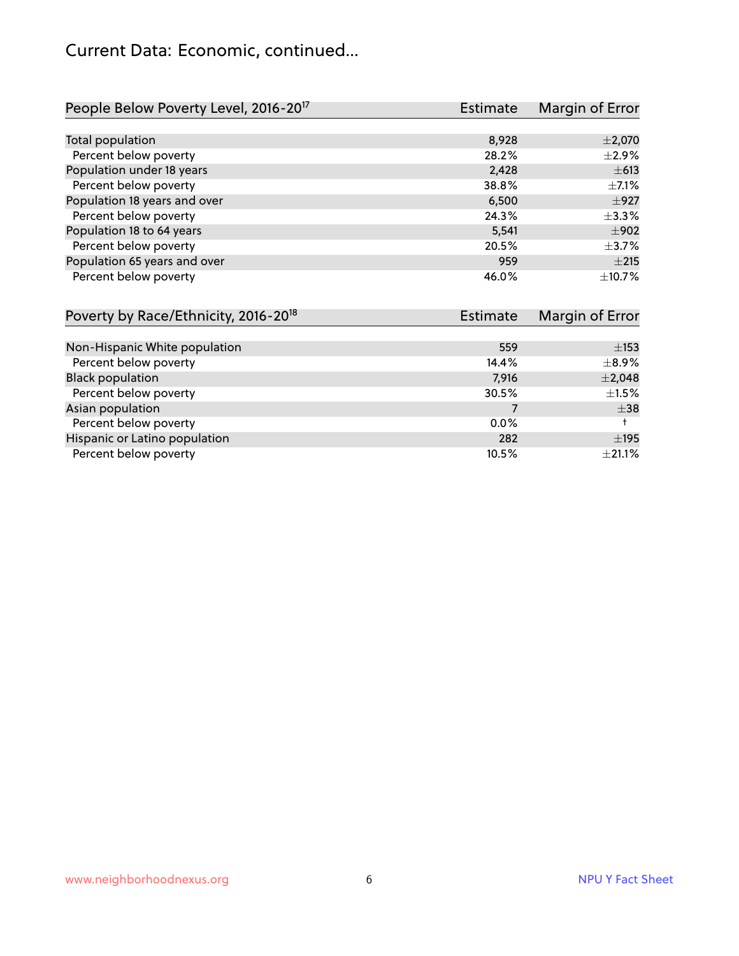#### Current Data: Economic, continued...

| People Below Poverty Level, 2016-20 <sup>17</sup> | <b>Estimate</b> | Margin of Error |
|---------------------------------------------------|-----------------|-----------------|
|                                                   |                 |                 |
| Total population                                  | 8,928           | $\pm 2,070$     |
| Percent below poverty                             | 28.2%           | $\pm 2.9\%$     |
| Population under 18 years                         | 2,428           | $\pm 613$       |
| Percent below poverty                             | 38.8%           | $\pm$ 7.1%      |
| Population 18 years and over                      | 6,500           | $\pm$ 927       |
| Percent below poverty                             | 24.3%           | $+3.3%$         |
| Population 18 to 64 years                         | 5,541           | $\pm$ 902       |
| Percent below poverty                             | 20.5%           | $\pm$ 3.7%      |
| Population 65 years and over                      | 959             | $\pm 215$       |
| Percent below poverty                             | 46.0%           | ±10.7%          |

| Poverty by Race/Ethnicity, 2016-20 <sup>18</sup> | <b>Estimate</b> | Margin of Error |
|--------------------------------------------------|-----------------|-----------------|
|                                                  |                 |                 |
| Non-Hispanic White population                    | 559             | $\pm$ 153       |
| Percent below poverty                            | 14.4%           | $\pm$ 8.9%      |
| <b>Black population</b>                          | 7,916           | $\pm 2,048$     |
| Percent below poverty                            | 30.5%           | $\pm 1.5\%$     |
| Asian population                                 |                 | $\pm$ 38        |
| Percent below poverty                            | $0.0\%$         |                 |
| Hispanic or Latino population                    | 282             | $\pm$ 195       |
| Percent below poverty                            | 10.5%           | $\pm 21.1\%$    |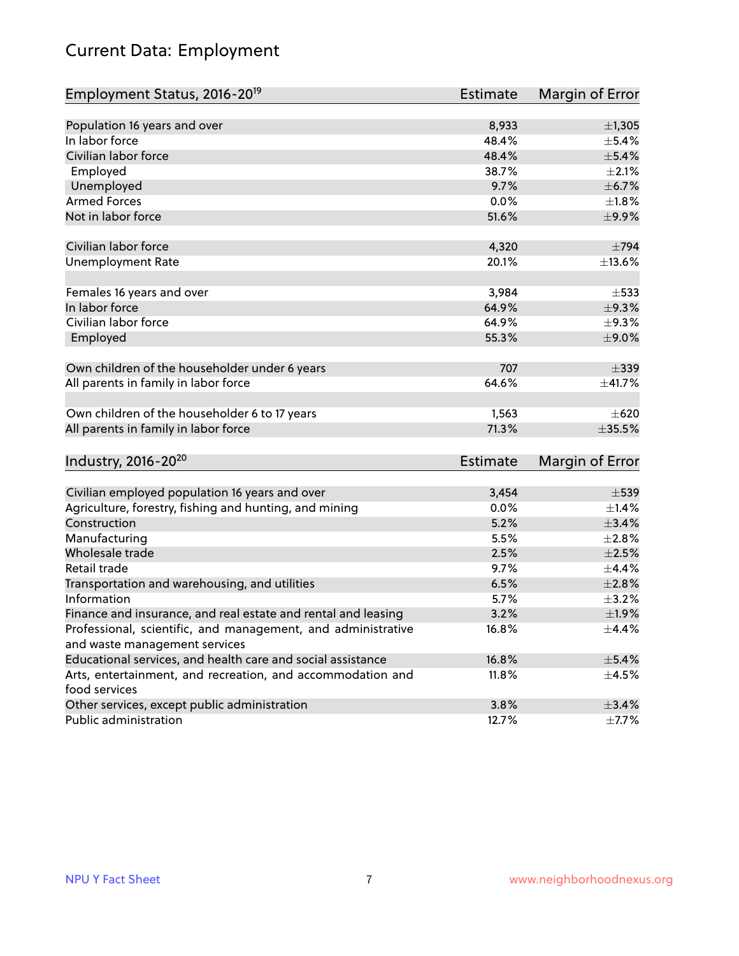## Current Data: Employment

| Employment Status, 2016-20 <sup>19</sup>                      | <b>Estimate</b> | Margin of Error |
|---------------------------------------------------------------|-----------------|-----------------|
|                                                               |                 |                 |
| Population 16 years and over                                  | 8,933           | $\pm$ 1,305     |
| In labor force                                                | 48.4%           | $\pm$ 5.4%      |
| Civilian labor force                                          | 48.4%           | $\pm$ 5.4%      |
| Employed                                                      | 38.7%           | $\pm 2.1\%$     |
| Unemployed                                                    | 9.7%            | ±6.7%           |
| <b>Armed Forces</b>                                           | 0.0%            | $\pm 1.8\%$     |
| Not in labor force                                            | 51.6%           | ±9.9%           |
| Civilian labor force                                          | 4,320           | $\pm 794$       |
| <b>Unemployment Rate</b>                                      | 20.1%           | ±13.6%          |
|                                                               |                 |                 |
| Females 16 years and over                                     | 3,984           | $\pm$ 533       |
| In labor force                                                | 64.9%           | $\pm$ 9.3%      |
| Civilian labor force                                          | 64.9%           | $\pm$ 9.3%      |
| Employed                                                      | 55.3%           | $\pm$ 9.0%      |
|                                                               |                 |                 |
| Own children of the householder under 6 years                 | 707             | $\pm$ 339       |
| All parents in family in labor force                          | 64.6%           | ±41.7%          |
| Own children of the householder 6 to 17 years                 | 1,563           | $\pm 620$       |
| All parents in family in labor force                          | 71.3%           | $\pm 35.5\%$    |
|                                                               |                 |                 |
| Industry, 2016-20 <sup>20</sup>                               | <b>Estimate</b> | Margin of Error |
| Civilian employed population 16 years and over                | 3,454           | $\pm$ 539       |
| Agriculture, forestry, fishing and hunting, and mining        | 0.0%            | $\pm$ 1.4%      |
| Construction                                                  | 5.2%            | $\pm$ 3.4%      |
| Manufacturing                                                 | 5.5%            | $\pm 2.8\%$     |
| Wholesale trade                                               | 2.5%            | $\pm 2.5\%$     |
| Retail trade                                                  | 9.7%            | ±4.4%           |
| Transportation and warehousing, and utilities                 | 6.5%            | $\pm 2.8\%$     |
| Information                                                   | 5.7%            | $\pm$ 3.2%      |
| Finance and insurance, and real estate and rental and leasing | 3.2%            | ±1.9%           |
| Professional, scientific, and management, and administrative  | 16.8%           | $\pm 4.4\%$     |
| and waste management services                                 |                 |                 |
| Educational services, and health care and social assistance   | 16.8%           | $\pm$ 5.4%      |
| Arts, entertainment, and recreation, and accommodation and    | 11.8%           | $\pm$ 4.5%      |
| food services                                                 |                 |                 |
| Other services, except public administration                  | 3.8%            | $\pm$ 3.4%      |
| Public administration                                         | 12.7%           | $\pm$ 7.7%      |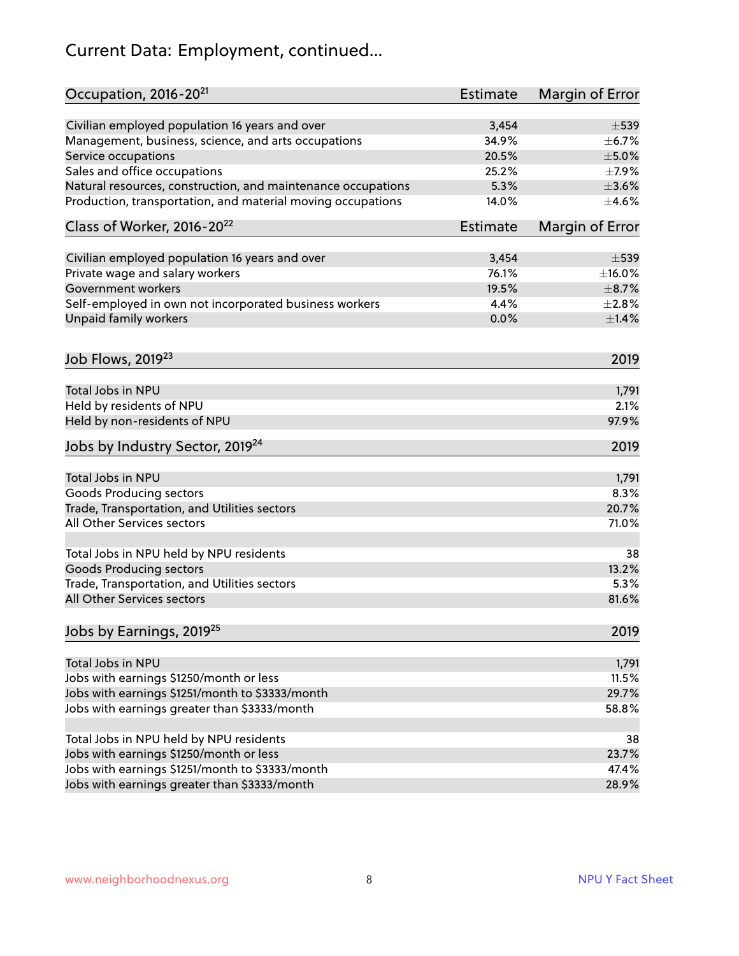## Current Data: Employment, continued...

| Occupation, 2016-20 <sup>21</sup>                            | <b>Estimate</b> | Margin of Error |
|--------------------------------------------------------------|-----------------|-----------------|
| Civilian employed population 16 years and over               | 3,454           | $\pm$ 539       |
| Management, business, science, and arts occupations          | 34.9%           | $\pm$ 6.7%      |
| Service occupations                                          | 20.5%           | $\pm$ 5.0%      |
| Sales and office occupations                                 | 25.2%           | $\pm$ 7.9%      |
| Natural resources, construction, and maintenance occupations | 5.3%            | $\pm 3.6\%$     |
| Production, transportation, and material moving occupations  | 14.0%           | $\pm$ 4.6%      |
| Class of Worker, 2016-20 <sup>22</sup>                       | <b>Estimate</b> | Margin of Error |
| Civilian employed population 16 years and over               | 3,454           | $\pm$ 539       |
| Private wage and salary workers                              | 76.1%           | $\pm$ 16.0%     |
| Government workers                                           | 19.5%           | $\pm$ 8.7%      |
| Self-employed in own not incorporated business workers       | 4.4%            | $\pm 2.8\%$     |
| Unpaid family workers                                        | 0.0%            | $\pm1.4\%$      |
|                                                              |                 |                 |
| Job Flows, 2019 <sup>23</sup>                                |                 | 2019            |
| Total Jobs in NPU                                            |                 | 1,791           |
| Held by residents of NPU                                     |                 | 2.1%            |
| Held by non-residents of NPU                                 |                 | 97.9%           |
| Jobs by Industry Sector, 2019 <sup>24</sup>                  |                 | 2019            |
|                                                              |                 |                 |
| Total Jobs in NPU                                            |                 | 1,791           |
| <b>Goods Producing sectors</b>                               |                 | 8.3%            |
| Trade, Transportation, and Utilities sectors                 |                 | 20.7%           |
| All Other Services sectors                                   |                 | 71.0%           |
| Total Jobs in NPU held by NPU residents                      |                 | 38              |
| <b>Goods Producing sectors</b>                               |                 | 13.2%           |
| Trade, Transportation, and Utilities sectors                 |                 | 5.3%            |
| All Other Services sectors                                   |                 | 81.6%           |
| Jobs by Earnings, 2019 <sup>25</sup>                         |                 | 2019            |
| Total Jobs in NPU                                            |                 | 1,791           |
| Jobs with earnings \$1250/month or less                      |                 | 11.5%           |
| Jobs with earnings \$1251/month to \$3333/month              |                 | 29.7%           |
| Jobs with earnings greater than \$3333/month                 |                 | 58.8%           |
|                                                              |                 |                 |
| Total Jobs in NPU held by NPU residents                      |                 | 38              |
| Jobs with earnings \$1250/month or less                      |                 | 23.7%           |
| Jobs with earnings \$1251/month to \$3333/month              |                 | 47.4%           |
| Jobs with earnings greater than \$3333/month                 |                 | 28.9%           |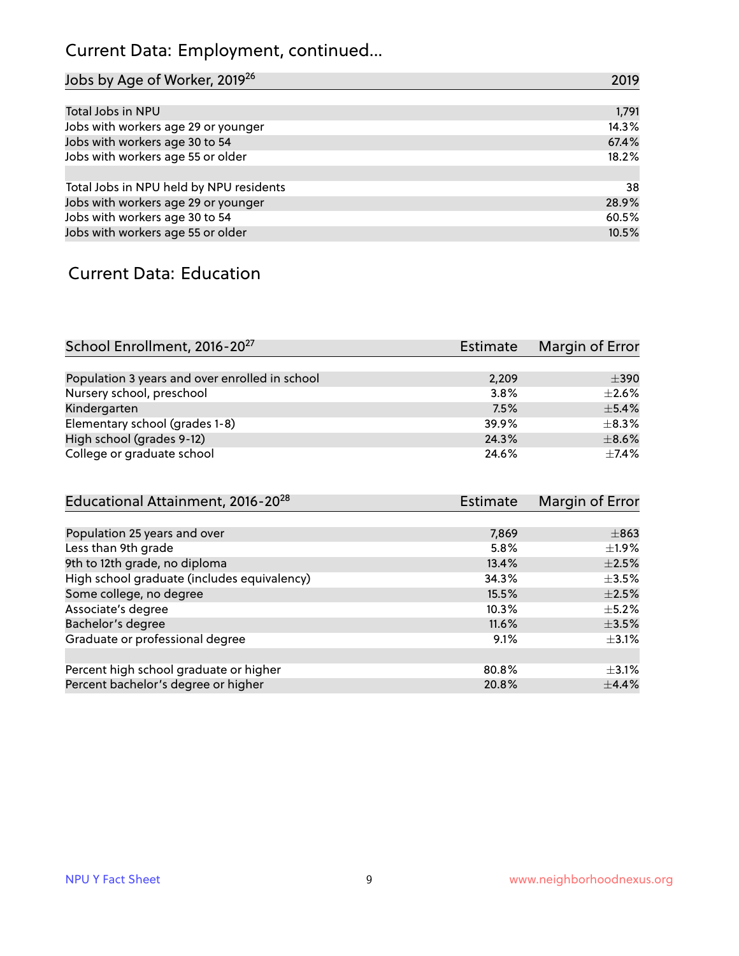## Current Data: Employment, continued...

| Jobs by Age of Worker, 2019 <sup>26</sup> | 2019  |
|-------------------------------------------|-------|
|                                           |       |
| Total Jobs in NPU                         | 1,791 |
| Jobs with workers age 29 or younger       | 14.3% |
| Jobs with workers age 30 to 54            | 67.4% |
| Jobs with workers age 55 or older         | 18.2% |
|                                           |       |
| Total Jobs in NPU held by NPU residents   | 38    |
| Jobs with workers age 29 or younger       | 28.9% |
| Jobs with workers age 30 to 54            | 60.5% |
| Jobs with workers age 55 or older         | 10.5% |

#### Current Data: Education

| School Enrollment, 2016-20 <sup>27</sup>       | <b>Estimate</b> | Margin of Error |
|------------------------------------------------|-----------------|-----------------|
|                                                |                 |                 |
| Population 3 years and over enrolled in school | 2,209           | $\pm$ 390       |
| Nursery school, preschool                      | 3.8%            | $\pm 2.6\%$     |
| Kindergarten                                   | 7.5%            | $+5.4%$         |
| Elementary school (grades 1-8)                 | 39.9%           | $\pm$ 8.3%      |
| High school (grades 9-12)                      | 24.3%           | $\pm$ 8.6%      |
| College or graduate school                     | 24.6%           | $\pm$ 7.4%      |

| Educational Attainment, 2016-20 <sup>28</sup> | <b>Estimate</b> | Margin of Error |
|-----------------------------------------------|-----------------|-----------------|
|                                               |                 |                 |
| Population 25 years and over                  | 7,869           | $\pm$ 863       |
| Less than 9th grade                           | 5.8%            | $\pm$ 1.9%      |
| 9th to 12th grade, no diploma                 | 13.4%           | $\pm 2.5\%$     |
| High school graduate (includes equivalency)   | 34.3%           | $\pm$ 3.5%      |
| Some college, no degree                       | 15.5%           | $\pm 2.5\%$     |
| Associate's degree                            | 10.3%           | $\pm$ 5.2%      |
| Bachelor's degree                             | 11.6%           | $\pm$ 3.5%      |
| Graduate or professional degree               | 9.1%            | $+3.1%$         |
|                                               |                 |                 |
| Percent high school graduate or higher        | 80.8%           | $\pm$ 3.1%      |
| Percent bachelor's degree or higher           | 20.8%           | $\pm$ 4.4%      |
|                                               |                 |                 |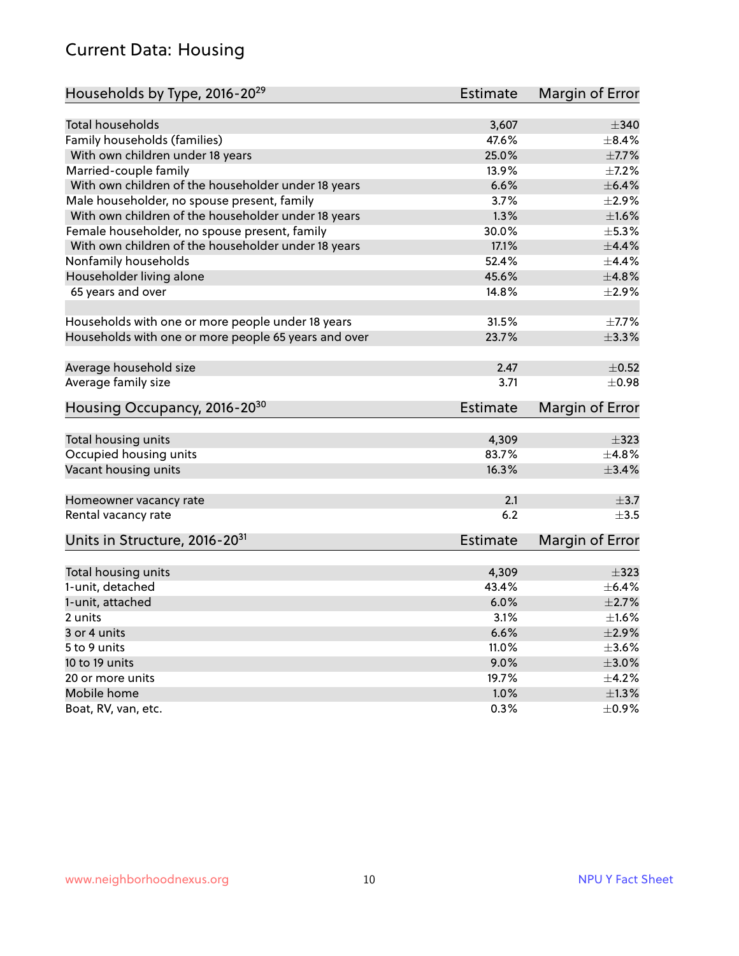#### Current Data: Housing

| Households by Type, 2016-20 <sup>29</sup>            | <b>Estimate</b> | Margin of Error     |
|------------------------------------------------------|-----------------|---------------------|
|                                                      |                 |                     |
| <b>Total households</b>                              | 3,607           | $\pm$ 340           |
| Family households (families)                         | 47.6%           | $\pm$ 8.4%          |
| With own children under 18 years                     | 25.0%           | $\pm$ 7.7%          |
| Married-couple family                                | 13.9%           | $\pm$ 7.2%          |
| With own children of the householder under 18 years  | 6.6%            | $\pm$ 6.4%          |
| Male householder, no spouse present, family          | 3.7%            | $\pm 2.9\%$         |
| With own children of the householder under 18 years  | 1.3%            | $\pm1.6\%$          |
| Female householder, no spouse present, family        | 30.0%           | $\pm$ 5.3%          |
| With own children of the householder under 18 years  | 17.1%           | ±4.4%               |
| Nonfamily households                                 | 52.4%           | $\pm$ 4.4%          |
| Householder living alone                             | 45.6%           | ±4.8%               |
| 65 years and over                                    | 14.8%           | $\pm 2.9\%$         |
| Households with one or more people under 18 years    | 31.5%           | $\pm$ 7.7%          |
| Households with one or more people 65 years and over | 23.7%           | ±3.3%               |
|                                                      |                 |                     |
| Average household size                               | 2.47            | $\pm$ 0.52          |
| Average family size                                  | 3.71            | $\pm 0.98$          |
| Housing Occupancy, 2016-20 <sup>30</sup>             | <b>Estimate</b> | Margin of Error     |
|                                                      | 4,309           | $\pm$ 323           |
| Total housing units                                  | 83.7%           | ±4.8%               |
| Occupied housing units                               | 16.3%           |                     |
| Vacant housing units                                 |                 | $\pm$ 3.4%          |
| Homeowner vacancy rate                               | 2.1             | $\pm$ 3.7           |
| Rental vacancy rate                                  | 6.2             | $\pm$ 3.5           |
| Units in Structure, 2016-20 <sup>31</sup>            | <b>Estimate</b> | Margin of Error     |
| Total housing units                                  | 4,309           | $\pm$ 323           |
| 1-unit, detached                                     | 43.4%           | $\pm$ 6.4%          |
| 1-unit, attached                                     | 6.0%            | $\pm 2.7\%$         |
| 2 units                                              | 3.1%            | $\pm1.6\%$          |
|                                                      | 6.6%            | $\pm 2.9\%$         |
| 3 or 4 units<br>5 to 9 units                         | 11.0%           | $\pm 3.6\%$         |
|                                                      |                 |                     |
| 10 to 19 units                                       | 9.0%            | $\pm 3.0\%$         |
| 20 or more units                                     | 19.7%           | $\pm$ 4.2%          |
| Mobile home                                          |                 |                     |
| Boat, RV, van, etc.                                  | 1.0%<br>0.3%    | ±1.3%<br>$\pm$ 0.9% |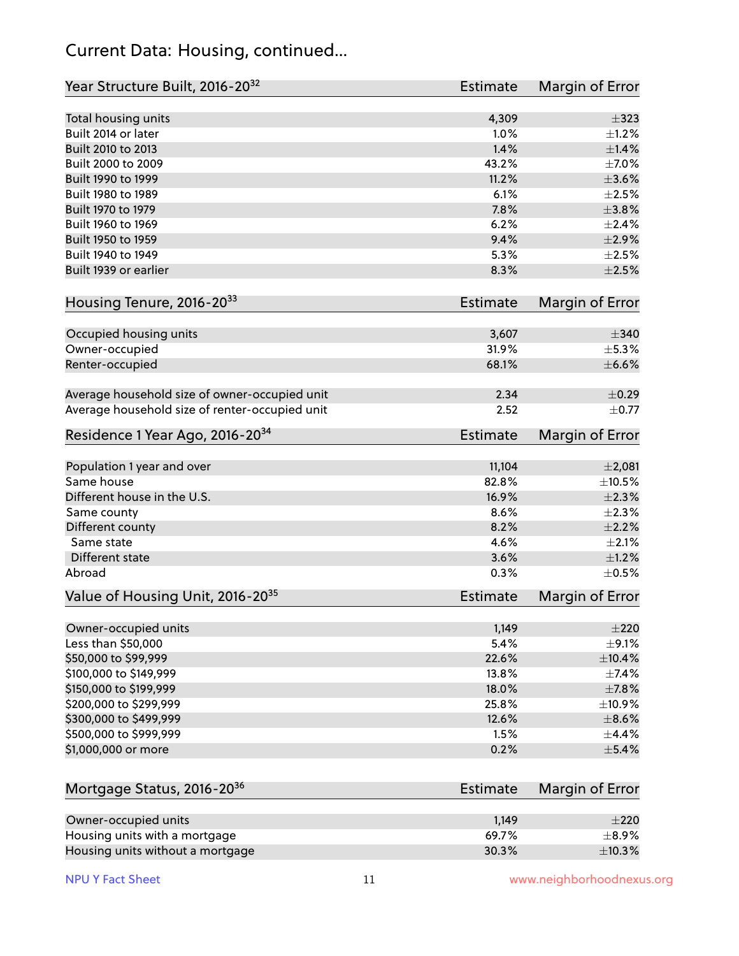#### Current Data: Housing, continued...

| Year Structure Built, 2016-20 <sup>32</sup>    | Estimate        | Margin of Error        |
|------------------------------------------------|-----------------|------------------------|
| Total housing units                            | 4,309           | $\pm$ 323              |
| Built 2014 or later                            | 1.0%            | $\pm 1.2\%$            |
| Built 2010 to 2013                             | 1.4%            | $\pm$ 1.4%             |
| Built 2000 to 2009                             | 43.2%           | $\pm$ 7.0%             |
| Built 1990 to 1999                             | 11.2%           | $\pm 3.6\%$            |
| Built 1980 to 1989                             | 6.1%            | $\pm 2.5\%$            |
| Built 1970 to 1979                             | 7.8%            | ±3.8%                  |
| Built 1960 to 1969                             | 6.2%            | ±2.4%                  |
| Built 1950 to 1959                             | 9.4%            | $\pm 2.9\%$            |
| Built 1940 to 1949                             | 5.3%            | $\pm 2.5\%$            |
| Built 1939 or earlier                          | 8.3%            | $\pm 2.5\%$            |
| Housing Tenure, 2016-2033                      | Estimate        | Margin of Error        |
| Occupied housing units                         | 3,607           | $\pm$ 340              |
| Owner-occupied                                 | 31.9%           | ±5.3%                  |
| Renter-occupied                                | 68.1%           | $\pm$ 6.6%             |
| Average household size of owner-occupied unit  | 2.34            | $\pm$ 0.29             |
| Average household size of renter-occupied unit | 2.52            | $\pm$ 0.77             |
| Residence 1 Year Ago, 2016-20 <sup>34</sup>    | <b>Estimate</b> | <b>Margin of Error</b> |
| Population 1 year and over                     | 11,104          | $\pm 2,081$            |
| Same house                                     | 82.8%           | ±10.5%                 |
| Different house in the U.S.                    | 16.9%           | $\pm 2.3\%$            |
| Same county                                    | 8.6%            | ±2.3%                  |
| Different county                               | 8.2%            | $\pm 2.2\%$            |
| Same state                                     | 4.6%            | $\pm 2.1\%$            |
| Different state                                | 3.6%            | $\pm 1.2\%$            |
| Abroad                                         | 0.3%            | $\pm$ 0.5%             |
| Value of Housing Unit, 2016-20 <sup>35</sup>   | <b>Estimate</b> | Margin of Error        |
| Owner-occupied units                           | 1,149           | $\pm 220$              |
| Less than \$50,000                             | 5.4%            | $\pm$ 9.1%             |
| \$50,000 to \$99,999                           | 22.6%           | ±10.4%                 |
| \$100,000 to \$149,999                         | 13.8%           | ±7.4%                  |
| \$150,000 to \$199,999                         | 18.0%           | ±7.8%                  |
| \$200,000 to \$299,999                         | 25.8%           | ±10.9%                 |
| \$300,000 to \$499,999                         | 12.6%           | $\pm$ 8.6%             |
| \$500,000 to \$999,999                         | 1.5%            | $\pm$ 4.4%             |
| \$1,000,000 or more                            | 0.2%            | $\pm$ 5.4%             |
| Mortgage Status, 2016-20 <sup>36</sup>         | Estimate        | Margin of Error        |
| Owner-occupied units                           | 1,149           | $\pm 220$              |
| Housing units with a mortgage                  | 69.7%           | $\pm$ 8.9%             |

Housing units without a mortgage  $\pm 10.3\%$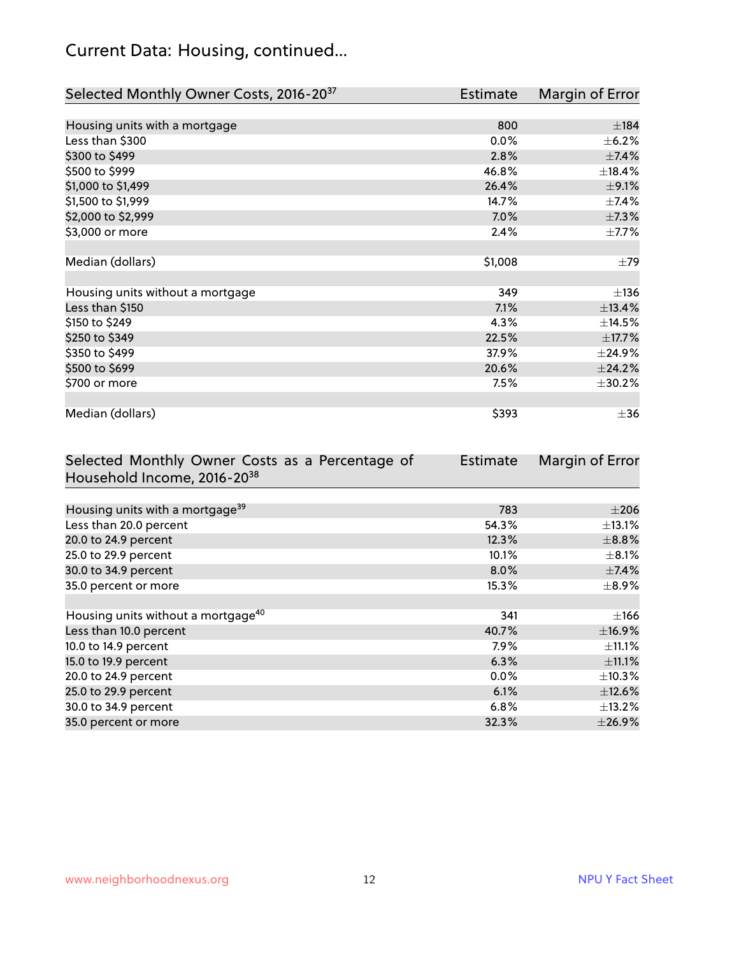## Current Data: Housing, continued...

| Selected Monthly Owner Costs, 2016-20 <sup>37</sup> | <b>Estimate</b> | Margin of Error |
|-----------------------------------------------------|-----------------|-----------------|
|                                                     |                 |                 |
| Housing units with a mortgage                       | 800             | ±184            |
| Less than \$300                                     | 0.0%            | $\pm$ 6.2%      |
| \$300 to \$499                                      | 2.8%            | $\pm$ 7.4%      |
| \$500 to \$999                                      | 46.8%           | ±18.4%          |
| \$1,000 to \$1,499                                  | 26.4%           | $\pm$ 9.1%      |
| \$1,500 to \$1,999                                  | 14.7%           | $\pm$ 7.4%      |
| \$2,000 to \$2,999                                  | 7.0%            | $\pm$ 7.3%      |
| \$3,000 or more                                     | 2.4%            | $\pm$ 7.7%      |
|                                                     |                 |                 |
| Median (dollars)                                    | \$1,008         | $\pm 79$        |
|                                                     |                 |                 |
| Housing units without a mortgage                    | 349             | ±136            |
| Less than \$150                                     | 7.1%            | ±13.4%          |
| \$150 to \$249                                      | 4.3%            | ±14.5%          |
| \$250 to \$349                                      | 22.5%           | ±17.7%          |
| \$350 to \$499                                      | 37.9%           | $±$ 24.9%       |
| \$500 to \$699                                      | 20.6%           | ±24.2%          |
| \$700 or more                                       | 7.5%            | ±30.2%          |
|                                                     |                 |                 |
| Median (dollars)                                    | \$393           | $\pm$ 36        |

| Selected Monthly Owner Costs as a Percentage of | <b>Estimate</b> | Margin of Error |
|-------------------------------------------------|-----------------|-----------------|
| Household Income, 2016-20 <sup>38</sup>         |                 |                 |
|                                                 |                 |                 |
| Housing units with a mortgage <sup>39</sup>     | 783             | $\pm 206$       |
| Less than 20.0 percent                          | 54.3%           | $\pm$ 13.1%     |
| 20.0 to 24.9 percent                            | 12.3%           | $\pm$ 8.8%      |
| 25.0 to 29.9 percent                            | 10.1%           | $\pm$ 8.1%      |
| 30.0 to 34.9 percent                            | 8.0%            | $\pm$ 7.4%      |
| 35.0 percent or more                            | 15.3%           | $\pm$ 8.9%      |
|                                                 |                 |                 |
| Housing units without a mortgage <sup>40</sup>  | 341             | $\pm 166$       |
| Less than 10.0 percent                          | 40.7%           | ±16.9%          |
| 10.0 to 14.9 percent                            | 7.9%            | $\pm$ 11.1%     |
| 15.0 to 19.9 percent                            | 6.3%            | $\pm$ 11.1%     |
| 20.0 to 24.9 percent                            | $0.0\%$         | $\pm$ 10.3%     |
| 25.0 to 29.9 percent                            | 6.1%            | $\pm$ 12.6%     |
| 30.0 to 34.9 percent                            | 6.8%            | $\pm$ 13.2%     |
| 35.0 percent or more                            | 32.3%           | $\pm$ 26.9%     |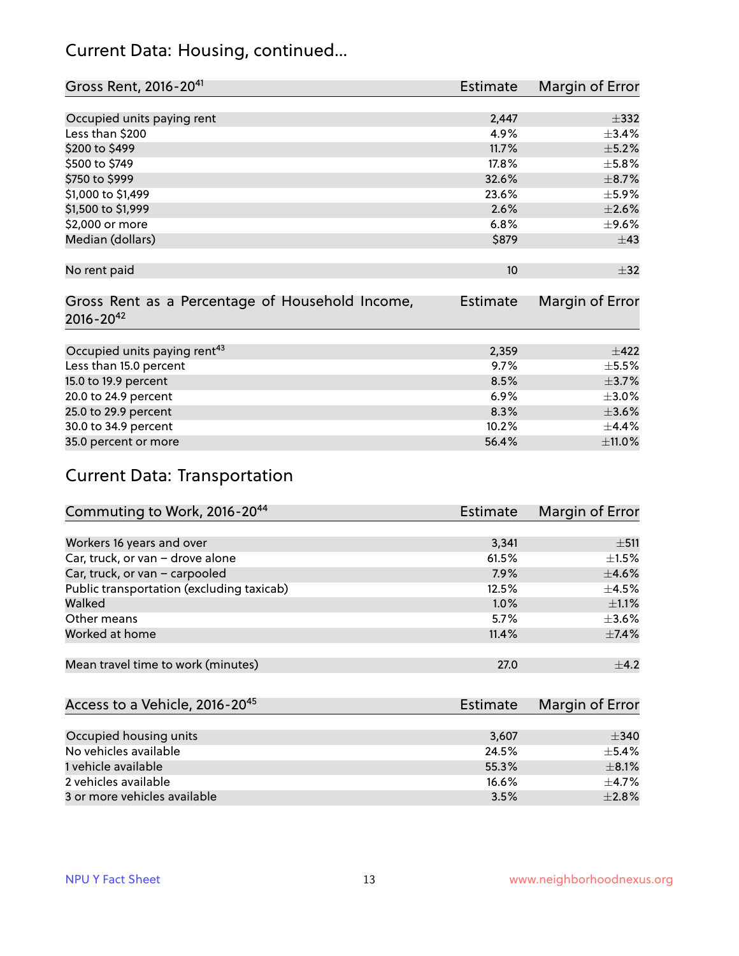#### Current Data: Housing, continued...

| Gross Rent, 2016-20 <sup>41</sup>               | Estimate        | Margin of Error |
|-------------------------------------------------|-----------------|-----------------|
|                                                 |                 |                 |
| Occupied units paying rent                      | 2,447           | $\pm$ 332       |
| Less than \$200                                 | 4.9%            | ±3.4%           |
| \$200 to \$499                                  | 11.7%           | $\pm$ 5.2%      |
| \$500 to \$749                                  | 17.8%           | $\pm$ 5.8%      |
| \$750 to \$999                                  | 32.6%           | $\pm$ 8.7%      |
| \$1,000 to \$1,499                              | 23.6%           | $\pm$ 5.9%      |
| \$1,500 to \$1,999                              | 2.6%            | $\pm 2.6\%$     |
| \$2,000 or more                                 | 6.8%            | $\pm$ 9.6%      |
| Median (dollars)                                | \$879           | $\pm$ 43        |
|                                                 |                 |                 |
| No rent paid                                    | 10              | $\pm$ 32        |
|                                                 |                 |                 |
| Gross Rent as a Percentage of Household Income, | <b>Estimate</b> | Margin of Error |
| $2016 - 20^{42}$                                |                 |                 |
|                                                 |                 |                 |
| Occupied units paying rent <sup>43</sup>        | 2,359           | $\pm$ 422       |
| Less than 15.0 percent                          | 9.7%            | $\pm$ 5.5%      |
| 15.0 to 19.9 percent                            | 8.5%            | $\pm$ 3.7%      |
| 20.0 to 24.9 percent                            | 6.9%            | $\pm 3.0\%$     |
| 25.0 to 29.9 percent                            | 8.3%            | $\pm 3.6\%$     |
| 30.0 to 34.9 percent                            | 10.2%           | $\pm$ 4.4%      |
| 35.0 percent or more                            | 56.4%           | $\pm$ 11.0%     |

## Current Data: Transportation

| Commuting to Work, 2016-20 <sup>44</sup>  | <b>Estimate</b> | Margin of Error |
|-------------------------------------------|-----------------|-----------------|
|                                           |                 |                 |
| Workers 16 years and over                 | 3,341           | $\pm$ 511       |
| Car, truck, or van - drove alone          | 61.5%           | $\pm 1.5\%$     |
| Car, truck, or van - carpooled            | 7.9%            | $\pm$ 4.6%      |
| Public transportation (excluding taxicab) | 12.5%           | $\pm$ 4.5%      |
| Walked                                    | 1.0%            | $\pm 1.1\%$     |
| Other means                               | 5.7%            | $\pm 3.6\%$     |
| Worked at home                            | 11.4%           | $\pm$ 7.4%      |
|                                           |                 |                 |
| Mean travel time to work (minutes)        | 27.0            | $\pm$ 4.2       |

| Access to a Vehicle, 2016-20 <sup>45</sup> | Estimate | Margin of Error |
|--------------------------------------------|----------|-----------------|
|                                            |          |                 |
| Occupied housing units                     | 3,607    | ±340            |
| No vehicles available                      | 24.5%    | $+5.4%$         |
| 1 vehicle available                        | 55.3%    | $\pm$ 8.1%      |
| 2 vehicles available                       | 16.6%    | $+4.7%$         |
| 3 or more vehicles available               | 3.5%     | $+2.8%$         |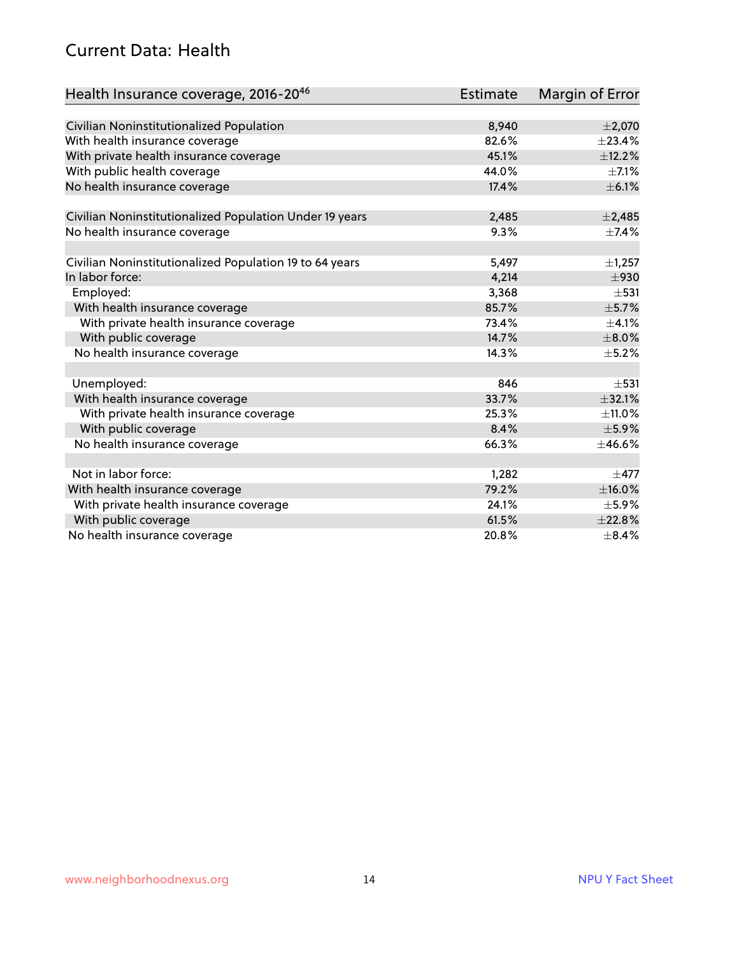#### Current Data: Health

| Health Insurance coverage, 2016-2046                    | <b>Estimate</b> | <b>Margin of Error</b> |
|---------------------------------------------------------|-----------------|------------------------|
|                                                         |                 |                        |
| Civilian Noninstitutionalized Population                | 8,940           | $\pm 2,070$            |
| With health insurance coverage                          | 82.6%           | ±23.4%                 |
| With private health insurance coverage                  | 45.1%           | ±12.2%                 |
| With public health coverage                             | 44.0%           | $\pm$ 7.1%             |
| No health insurance coverage                            | 17.4%           | $\pm$ 6.1%             |
| Civilian Noninstitutionalized Population Under 19 years | 2,485           | $\pm$ 2,485            |
| No health insurance coverage                            | 9.3%            | $\pm$ 7.4%             |
|                                                         |                 |                        |
| Civilian Noninstitutionalized Population 19 to 64 years | 5,497           | $\pm$ 1,257            |
| In labor force:                                         | 4,214           | $\pm$ 930              |
| Employed:                                               | 3,368           | $\pm$ 531              |
| With health insurance coverage                          | 85.7%           | $\pm$ 5.7%             |
| With private health insurance coverage                  | 73.4%           | $\pm 4.1\%$            |
| With public coverage                                    | 14.7%           | $\pm 8.0\%$            |
| No health insurance coverage                            | 14.3%           | $\pm$ 5.2%             |
|                                                         |                 |                        |
| Unemployed:                                             | 846             | $\pm$ 531              |
| With health insurance coverage                          | 33.7%           | ±32.1%                 |
| With private health insurance coverage                  | 25.3%           | $\pm$ 11.0%            |
| With public coverage                                    | 8.4%            | $\pm$ 5.9%             |
| No health insurance coverage                            | 66.3%           | ±46.6%                 |
|                                                         |                 |                        |
| Not in labor force:                                     | 1,282           | $\pm$ 477              |
| With health insurance coverage                          | 79.2%           | $\pm$ 16.0%            |
| With private health insurance coverage                  | 24.1%           | $\pm$ 5.9%             |
| With public coverage                                    | 61.5%           | ±22.8%                 |
| No health insurance coverage                            | 20.8%           | $\pm$ 8.4%             |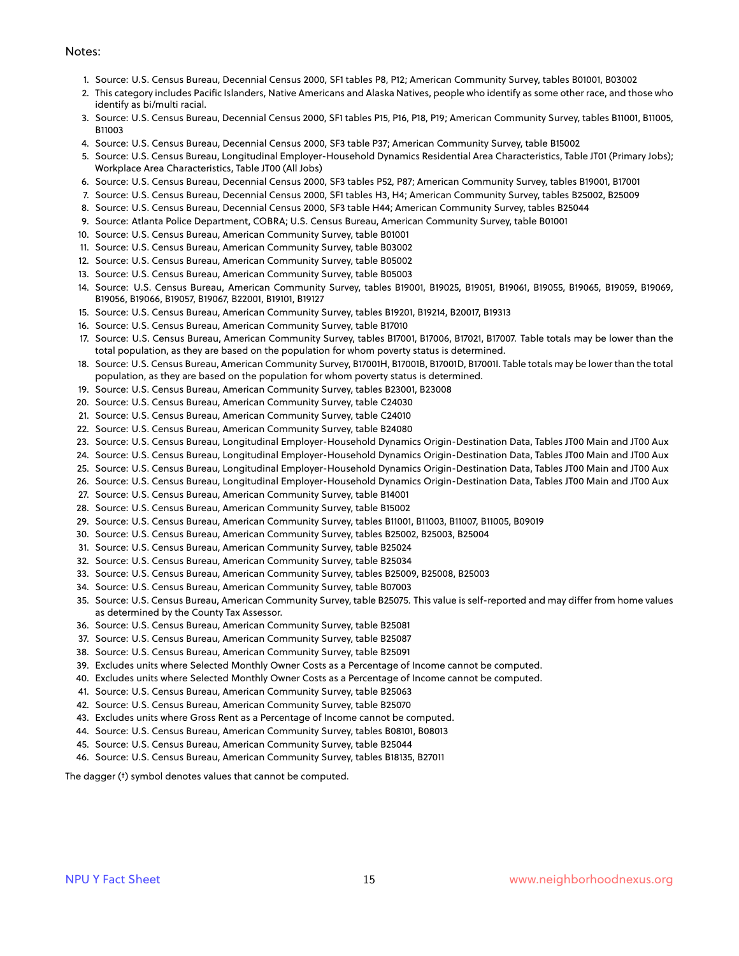#### Notes:

- 1. Source: U.S. Census Bureau, Decennial Census 2000, SF1 tables P8, P12; American Community Survey, tables B01001, B03002
- 2. This category includes Pacific Islanders, Native Americans and Alaska Natives, people who identify as some other race, and those who identify as bi/multi racial.
- 3. Source: U.S. Census Bureau, Decennial Census 2000, SF1 tables P15, P16, P18, P19; American Community Survey, tables B11001, B11005, B11003
- 4. Source: U.S. Census Bureau, Decennial Census 2000, SF3 table P37; American Community Survey, table B15002
- 5. Source: U.S. Census Bureau, Longitudinal Employer-Household Dynamics Residential Area Characteristics, Table JT01 (Primary Jobs); Workplace Area Characteristics, Table JT00 (All Jobs)
- 6. Source: U.S. Census Bureau, Decennial Census 2000, SF3 tables P52, P87; American Community Survey, tables B19001, B17001
- 7. Source: U.S. Census Bureau, Decennial Census 2000, SF1 tables H3, H4; American Community Survey, tables B25002, B25009
- 8. Source: U.S. Census Bureau, Decennial Census 2000, SF3 table H44; American Community Survey, tables B25044
- 9. Source: Atlanta Police Department, COBRA; U.S. Census Bureau, American Community Survey, table B01001
- 10. Source: U.S. Census Bureau, American Community Survey, table B01001
- 11. Source: U.S. Census Bureau, American Community Survey, table B03002
- 12. Source: U.S. Census Bureau, American Community Survey, table B05002
- 13. Source: U.S. Census Bureau, American Community Survey, table B05003
- 14. Source: U.S. Census Bureau, American Community Survey, tables B19001, B19025, B19051, B19061, B19055, B19065, B19059, B19069, B19056, B19066, B19057, B19067, B22001, B19101, B19127
- 15. Source: U.S. Census Bureau, American Community Survey, tables B19201, B19214, B20017, B19313
- 16. Source: U.S. Census Bureau, American Community Survey, table B17010
- 17. Source: U.S. Census Bureau, American Community Survey, tables B17001, B17006, B17021, B17007. Table totals may be lower than the total population, as they are based on the population for whom poverty status is determined.
- 18. Source: U.S. Census Bureau, American Community Survey, B17001H, B17001B, B17001D, B17001I. Table totals may be lower than the total population, as they are based on the population for whom poverty status is determined.
- 19. Source: U.S. Census Bureau, American Community Survey, tables B23001, B23008
- 20. Source: U.S. Census Bureau, American Community Survey, table C24030
- 21. Source: U.S. Census Bureau, American Community Survey, table C24010
- 22. Source: U.S. Census Bureau, American Community Survey, table B24080
- 23. Source: U.S. Census Bureau, Longitudinal Employer-Household Dynamics Origin-Destination Data, Tables JT00 Main and JT00 Aux
- 24. Source: U.S. Census Bureau, Longitudinal Employer-Household Dynamics Origin-Destination Data, Tables JT00 Main and JT00 Aux
- 25. Source: U.S. Census Bureau, Longitudinal Employer-Household Dynamics Origin-Destination Data, Tables JT00 Main and JT00 Aux
- 26. Source: U.S. Census Bureau, Longitudinal Employer-Household Dynamics Origin-Destination Data, Tables JT00 Main and JT00 Aux
- 27. Source: U.S. Census Bureau, American Community Survey, table B14001
- 28. Source: U.S. Census Bureau, American Community Survey, table B15002
- 29. Source: U.S. Census Bureau, American Community Survey, tables B11001, B11003, B11007, B11005, B09019
- 30. Source: U.S. Census Bureau, American Community Survey, tables B25002, B25003, B25004
- 31. Source: U.S. Census Bureau, American Community Survey, table B25024
- 32. Source: U.S. Census Bureau, American Community Survey, table B25034
- 33. Source: U.S. Census Bureau, American Community Survey, tables B25009, B25008, B25003
- 34. Source: U.S. Census Bureau, American Community Survey, table B07003
- 35. Source: U.S. Census Bureau, American Community Survey, table B25075. This value is self-reported and may differ from home values as determined by the County Tax Assessor.
- 36. Source: U.S. Census Bureau, American Community Survey, table B25081
- 37. Source: U.S. Census Bureau, American Community Survey, table B25087
- 38. Source: U.S. Census Bureau, American Community Survey, table B25091
- 39. Excludes units where Selected Monthly Owner Costs as a Percentage of Income cannot be computed.
- 40. Excludes units where Selected Monthly Owner Costs as a Percentage of Income cannot be computed.
- 41. Source: U.S. Census Bureau, American Community Survey, table B25063
- 42. Source: U.S. Census Bureau, American Community Survey, table B25070
- 43. Excludes units where Gross Rent as a Percentage of Income cannot be computed.
- 44. Source: U.S. Census Bureau, American Community Survey, tables B08101, B08013
- 45. Source: U.S. Census Bureau, American Community Survey, table B25044
- 46. Source: U.S. Census Bureau, American Community Survey, tables B18135, B27011

The dagger (†) symbol denotes values that cannot be computed.